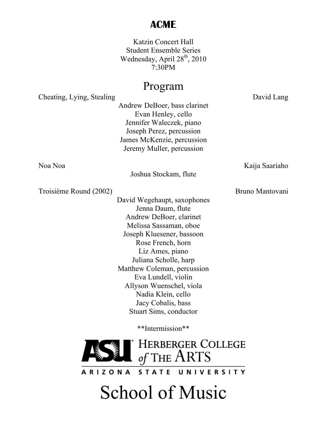## **ACME**

Katzin Concert Hall Student Ensemble Series Wednesday, April 28<sup>th</sup>, 2010 7:30PM

## Program

Cheating, Lying, Stealing David Lang

Andrew DeBoer, bass clarinet Evan Henley, cello Jennifer Waleczek, piano Joseph Perez, percussion James McKenzie, percussion Jeremy Muller, percussion

Noa Noa Kaija Saariaho

Joshua Stockam, flute

Troisième Round (2002) Bruno Mantovani

David Wegehaupt, saxophones Jenna Daum, flute Andrew DeBoer, clarinet Melissa Sassaman, oboe Joseph Kluesener, bassoon Rose French, horn Liz Ames, piano Juliana Scholle, harp Matthew Coleman, percussion Eva Lundell, violin Allyson Wuenschel, viola Nadia Klein, cello Jacy Cobalis, bass Stuart Sims, conductor

\*\*Intermission\*\*



STATE UNIVERSITY **ARIZONA** 

## School of Music